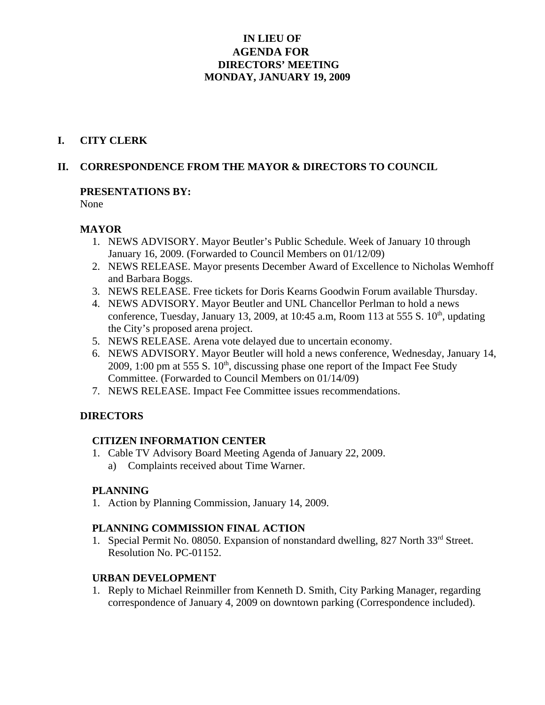# **IN LIEU OF AGENDA FOR DIRECTORS' MEETING MONDAY, JANUARY 19, 2009**

#### **I. CITY CLERK**

### **II. CORRESPONDENCE FROM THE MAYOR & DIRECTORS TO COUNCIL**

#### **PRESENTATIONS BY:**

None

#### **MAYOR**

- 1. NEWS ADVISORY. Mayor Beutler's Public Schedule. Week of January 10 through January 16, 2009. (Forwarded to Council Members on 01/12/09)
- 2. NEWS RELEASE. Mayor presents December Award of Excellence to Nicholas Wemhoff and Barbara Boggs.
- 3. NEWS RELEASE. Free tickets for Doris Kearns Goodwin Forum available Thursday.
- 4. NEWS ADVISORY. Mayor Beutler and UNL Chancellor Perlman to hold a news conference, Tuesday, January 13, 2009, at 10:45 a.m, Room 113 at 555 S.  $10<sup>th</sup>$ , updating the City's proposed arena project.
- 5. NEWS RELEASE. Arena vote delayed due to uncertain economy.
- 6. NEWS ADVISORY. Mayor Beutler will hold a news conference, Wednesday, January 14, 2009, 1:00 pm at 555 S.  $10<sup>th</sup>$ , discussing phase one report of the Impact Fee Study Committee. (Forwarded to Council Members on 01/14/09)
- 7. NEWS RELEASE. Impact Fee Committee issues recommendations.

### **DIRECTORS**

#### **CITIZEN INFORMATION CENTER**

1. Cable TV Advisory Board Meeting Agenda of January 22, 2009. a) Complaints received about Time Warner.

### **PLANNING**

1. Action by Planning Commission, January 14, 2009.

### **PLANNING COMMISSION FINAL ACTION**

1. Special Permit No. 08050. Expansion of nonstandard dwelling, 827 North 33<sup>rd</sup> Street. Resolution No. PC-01152.

#### **URBAN DEVELOPMENT**

1. Reply to Michael Reinmiller from Kenneth D. Smith, City Parking Manager, regarding correspondence of January 4, 2009 on downtown parking (Correspondence included).